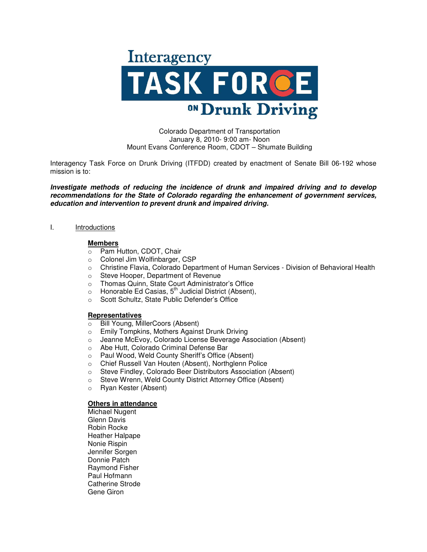

Colorado Department of Transportation January 8, 2010- 9:00 am- Noon Mount Evans Conference Room, CDOT – Shumate Building

Interagency Task Force on Drunk Driving (ITFDD) created by enactment of Senate Bill 06-192 whose mission is to:

**Investigate methods of reducing the incidence of drunk and impaired driving and to develop recommendations for the State of Colorado regarding the enhancement of government services, education and intervention to prevent drunk and impaired driving.**

## I. Introductions

## **Members**

- o Pam Hutton, CDOT, Chair
- o Colonel Jim Wolfinbarger, CSP
- o Christine Flavia, Colorado Department of Human Services Division of Behavioral Health
- o Steve Hooper, Department of Revenue
- o Thomas Quinn, State Court Administrator's Office
- $\circ$  Honorable Ed Casias, 5<sup>th</sup> Judicial District (Absent),
- o Scott Schultz, State Public Defender's Office

#### **Representatives**

- o Bill Young, MillerCoors (Absent)
- o Emily Tompkins, Mothers Against Drunk Driving
- o Jeanne McEvoy, Colorado License Beverage Association (Absent)
- o Abe Hutt, Colorado Criminal Defense Bar
- o Paul Wood, Weld County Sheriff's Office (Absent)
- o Chief Russell Van Houten (Absent), Northglenn Police
- o Steve Findley, Colorado Beer Distributors Association (Absent)
- o Steve Wrenn, Weld County District Attorney Office (Absent)
- o Ryan Kester (Absent)

#### **Others in attendance**

Michael Nugent Glenn Davis Robin Rocke Heather Halpape Nonie Rispin Jennifer Sorgen Donnie Patch Raymond Fisher Paul Hofmann Catherine Strode Gene Giron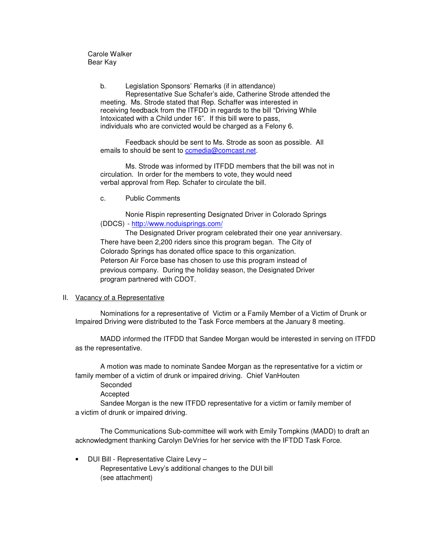Carole Walker Bear Kay

> b. Legislation Sponsors' Remarks (if in attendance) Representative Sue Schafer's aide, Catherine Strode attended the meeting. Ms. Strode stated that Rep. Schaffer was interested in receiving feedback from the ITFDD in regards to the bill "Driving While Intoxicated with a Child under 16". If this bill were to pass, individuals who are convicted would be charged as a Felony 6.

 Feedback should be sent to Ms. Strode as soon as possible. All emails to should be sent to comedia@comcast.net.

 Ms. Strode was informed by ITFDD members that the bill was not in circulation. In order for the members to vote, they would need verbal approval from Rep. Schafer to circulate the bill.

c. Public Comments

 Nonie Rispin representing Designated Driver in Colorado Springs (DDCS) - http://www.noduisprings.com/

 The Designated Driver program celebrated their one year anniversary. There have been 2,200 riders since this program began. The City of Colorado Springs has donated office space to this organization. Peterson Air Force base has chosen to use this program instead of previous company. During the holiday season, the Designated Driver program partnered with CDOT.

## II. Vacancy of a Representative

 Nominations for a representative of Victim or a Family Member of a Victim of Drunk or Impaired Driving were distributed to the Task Force members at the January 8 meeting.

 MADD informed the ITFDD that Sandee Morgan would be interested in serving on ITFDD as the representative.

 A motion was made to nominate Sandee Morgan as the representative for a victim or family member of a victim of drunk or impaired driving. Chief VanHouten

Seconded

**Accepted** 

 Sandee Morgan is the new ITFDD representative for a victim or family member of a victim of drunk or impaired driving.

 The Communications Sub-committee will work with Emily Tompkins (MADD) to draft an acknowledgment thanking Carolyn DeVries for her service with the IFTDD Task Force.

• DUI Bill - Representative Claire Levy – Representative Levy's additional changes to the DUI bill (see attachment)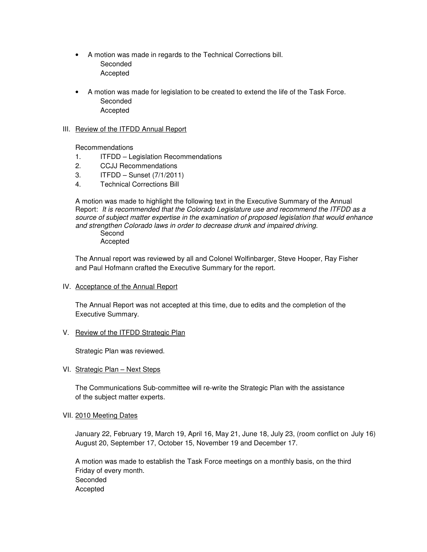- A motion was made in regards to the Technical Corrections bill. Seconded Accepted
- A motion was made for legislation to be created to extend the life of the Task Force. Seconded Accepted

## III. Review of the ITFDD Annual Report

Recommendations

- 1. ITFDD Legislation Recommendations
- 2. CCJJ Recommendations
- 3. ITFDD Sunset (7/1/2011)
- 4. Technical Corrections Bill

A motion was made to highlight the following text in the Executive Summary of the Annual Report: It is recommended that the Colorado Legislature use and recommend the ITFDD as a source of subject matter expertise in the examination of proposed legislation that would enhance and strengthen Colorado laws in order to decrease drunk and impaired driving. Second

Accepted

 The Annual report was reviewed by all and Colonel Wolfinbarger, Steve Hooper, Ray Fisher and Paul Hofmann crafted the Executive Summary for the report.

IV. Acceptance of the Annual Report

 The Annual Report was not accepted at this time, due to edits and the completion of the Executive Summary.

## V. Review of the ITFDD Strategic Plan

Strategic Plan was reviewed.

VI. Strategic Plan – Next Steps

 The Communications Sub-committee will re-write the Strategic Plan with the assistance of the subject matter experts.

## VII. 2010 Meeting Dates

 January 22, February 19, March 19, April 16, May 21, June 18, July 23, (room conflict on July 16) August 20, September 17, October 15, November 19 and December 17.

 A motion was made to establish the Task Force meetings on a monthly basis, on the third Friday of every month. Seconded Accepted